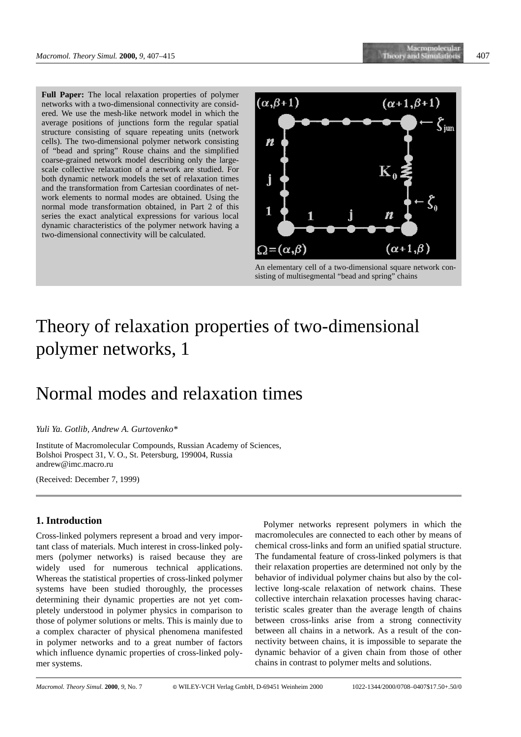**Full Paper:** The local relaxation properties of polymer networks with a two-dimensional connectivity are considered. We use the mesh-like network model in which the average positions of junctions form the regular spatial structure consisting of square repeating units (network cells). The two-dimensional polymer network consisting of "bead and spring" Rouse chains and the simplified coarse-grained network model describing only the largescale collective relaxation of a network are studied. For both dynamic network models the set of relaxation times and the transformation from Cartesian coordinates of network elements to normal modes are obtained. Using the normal mode transformation obtained, in Part 2 of this series the exact analytical expressions for various local dynamic characteristics of the polymer network having a two-dimensional connectivity will be calculated.



An elementary cell of a two-dimensional square network consisting of multisegmental "bead and spring" chains

# Theory of relaxation properties of two-dimensional polymer networks, 1

## Normal modes and relaxation times

*Yuli Ya. Gotlib, Andrew A. Gurtovenko\**

Institute of Macromolecular Compounds, Russian Academy of Sciences, Bolshoi Prospect 31, V. O., St. Petersburg, 199004, Russia andrew@imc.macro.ru

(Received: December 7, 1999)

## **1. Introduction**

Cross-linked polymers represent a broad and very important class of materials. Much interest in cross-linked polymers (polymer networks) is raised because they are widely used for numerous technical applications. Whereas the statistical properties of cross-linked polymer systems have been studied thoroughly, the processes determining their dynamic properties are not yet completely understood in polymer physics in comparison to those of polymer solutions or melts. This is mainly due to a complex character of physical phenomena manifested in polymer networks and to a great number of factors which influence dynamic properties of cross-linked polymer systems.

Polymer networks represent polymers in which the macromolecules are connected to each other by means of chemical cross-links and form an unified spatial structure. The fundamental feature of cross-linked polymers is that their relaxation properties are determined not only by the behavior of individual polymer chains but also by the collective long-scale relaxation of network chains. These collective interchain relaxation processes having characteristic scales greater than the average length of chains between cross-links arise from a strong connectivity between all chains in a network. As a result of the connectivity between chains, it is impossible to separate the dynamic behavior of a given chain from those of other chains in contrast to polymer melts and solutions.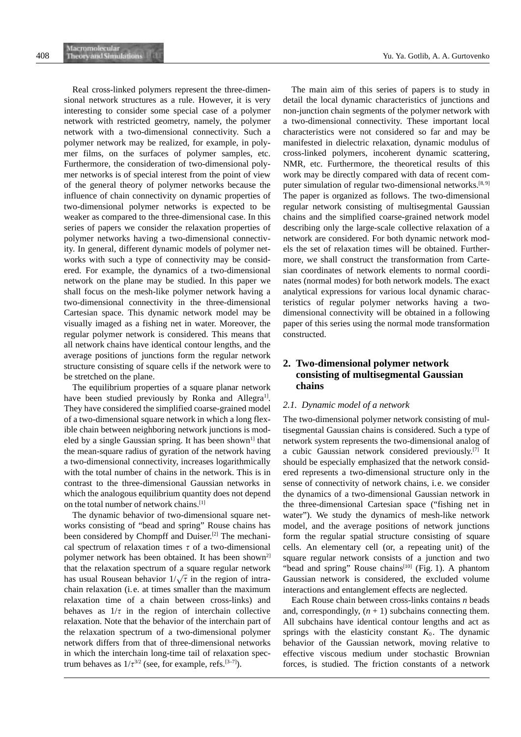Real cross-linked polymers represent the three-dimensional network structures as a rule. However, it is very interesting to consider some special case of a polymer network with restricted geometry, namely, the polymer network with a two-dimensional connectivity. Such a polymer network may be realized, for example, in polymer films, on the surfaces of polymer samples, etc. Furthermore, the consideration of two-dimensional polymer networks is of special interest from the point of view of the general theory of polymer networks because the influence of chain connectivity on dynamic properties of two-dimensional polymer networks is expected to be weaker as compared to the three-dimensional case. In this series of papers we consider the relaxation properties of polymer networks having a two-dimensional connectivity. In general, different dynamic models of polymer networks with such a type of connectivity may be considered. For example, the dynamics of a two-dimensional network on the plane may be studied. In this paper we shall focus on the mesh-like polymer network having a two-dimensional connectivity in the three-dimensional Cartesian space. This dynamic network model may be visually imaged as a fishing net in water. Moreover, the regular polymer network is considered. This means that all network chains have identical contour lengths, and the average positions of junctions form the regular network structure consisting of square cells if the network were to be stretched on the plane.

The equilibrium properties of a square planar network have been studied previously by Ronka and Allegra<sup>1]</sup>. They have considered the simplified coarse-grained model of a two-dimensional square network in which a long flexible chain between neighboring network junctions is modeled by a single Gaussian spring. It has been shown<sup>1]</sup> that the mean-square radius of gyration of the network having a two-dimensional connectivity, increases logarithmically with the total number of chains in the network. This is in contrast to the three-dimensional Gaussian networks in which the analogous equilibrium quantity does not depend on the total number of network chains.[1]

The dynamic behavior of two-dimensional square networks consisting of "bead and spring" Rouse chains has been considered by Chompff and Duiser.<sup>[2]</sup> The mechanical spectrum of relaxation times  $\tau$  of a two-dimensional polymer network has been obtained. It has been shown<sup>21</sup> that the relaxation spectrum of a square regular network has usual Rousean behavior  $1/\sqrt{\tau}$  in the region of intrachain relaxation (i.e. at times smaller than the maximum relaxation time of a chain between cross-links) and behaves as  $1/\tau$  in the region of interchain collective relaxation. Note that the behavior of the interchain part of the relaxation spectrum of a two-dimensional polymer network differs from that of three-dimensional networks in which the interchain long-time tail of relaxation spectrum behaves as  $1/\tau^{3/2}$  (see, for example, refs.<sup>[3-7]</sup>).

The main aim of this series of papers is to study in detail the local dynamic characteristics of junctions and non-junction chain segments of the polymer network with a two-dimensional connectivity. These important local characteristics were not considered so far and may be manifested in dielectric relaxation, dynamic modulus of cross-linked polymers, incoherent dynamic scattering, NMR, etc. Furthermore, the theoretical results of this work may be directly compared with data of recent computer simulation of regular two-dimensional networks.<sup>[8,9]</sup> The paper is organized as follows. The two-dimensional regular network consisting of multisegmental Gaussian chains and the simplified coarse-grained network model describing only the large-scale collective relaxation of a network are considered. For both dynamic network models the set of relaxation times will be obtained. Furthermore, we shall construct the transformation from Cartesian coordinates of network elements to normal coordinates (normal modes) for both network models. The exact analytical expressions for various local dynamic characteristics of regular polymer networks having a twodimensional connectivity will be obtained in a following paper of this series using the normal mode transformation constructed.

## **2. Two-dimensional polymer network consisting of multisegmental Gaussian chains**

#### *2.1. Dynamic model of a network*

The two-dimensional polymer network consisting of multisegmental Gaussian chains is considered. Such a type of network system represents the two-dimensional analog of a cubic Gaussian network considered previously.<sup>[7]</sup> It should be especially emphasized that the network considered represents a two-dimensional structure only in the sense of connectivity of network chains, i.e. we consider the dynamics of a two-dimensional Gaussian network in the three-dimensional Cartesian space ("fishing net in water"). We study the dynamics of mesh-like network model, and the average positions of network junctions form the regular spatial structure consisting of square cells. An elementary cell (or, a repeating unit) of the square regular network consists of a junction and two "bead and spring" Rouse chains $[10]$  (Fig. 1). A phantom Gaussian network is considered, the excluded volume interactions and entanglement effects are neglected.

Each Rouse chain between cross-links contains *n* beads and, correspondingly,  $(n + 1)$  subchains connecting them. All subchains have identical contour lengths and act as springs with the elasticity constant  $K_0$ . The dynamic behavior of the Gaussian network, moving relative to effective viscous medium under stochastic Brownian forces, is studied. The friction constants of a network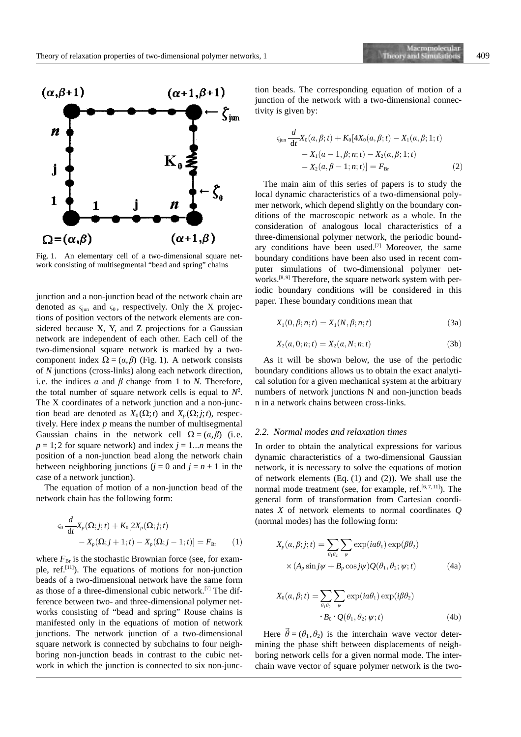

Fig. 1. An elementary cell of a two-dimensional square network consisting of multisegmental "bead and spring" chains

 $(\alpha+1,\beta)$ 

 $Q = (\alpha, \beta)$ 

junction and a non-junction bead of the network chain are denoted as  $\varsigma_{\text{jun}}$  and  $\varsigma_0$ , respectively. Only the X projections of position vectors of the network elements are considered because X, Y, and Z projections for a Gaussian network are independent of each other. Each cell of the two-dimensional square network is marked by a twocomponent index  $\Omega = (\alpha, \beta)$  (Fig. 1). A network consists of *N* junctions (cross-links) along each network direction, i.e. the indices  $\alpha$  and  $\beta$  change from 1 to *N*. Therefore, the total number of square network cells is equal to  $N^2$ . The X coordinates of a network junction and a non-junction bead are denoted as  $X_0(\Omega; t)$  and  $X_p(\Omega; j; t)$ , respectively. Here index *p* means the number of multisegmental Gaussian chains in the network cell  $\Omega = (\alpha, \beta)$  (i.e.  $p = 1;2$  for square network) and index  $j = 1...n$  means the position of a non-junction bead along the network chain between neighboring junctions ( $i = 0$  and  $i = n + 1$  in the case of a network junction).

The equation of motion of a non-junction bead of the network chain has the following form:

$$
\varsigma_0 \frac{d}{dt} X_p(\Omega; j; t) + K_0[2X_p(\Omega; j; t) - X_p(\Omega; j+1; t) - X_p(\Omega; j-1; t)] = F_{\text{Br}} \qquad (1)
$$

where  $F_{\text{Br}}$  is the stochastic Brownian force (see, for example, ref.[11]). The equations of motions for non-junction beads of a two-dimensional network have the same form as those of a three-dimensional cubic network.[7] The difference between two- and three-dimensional polymer networks consisting of "bead and spring" Rouse chains is manifested only in the equations of motion of network junctions. The network junction of a two-dimensional square network is connected by subchains to four neighboring non-junction beads in contrast to the cubic network in which the junction is connected to six non-junc-

tion beads. The corresponding equation of motion of a junction of the network with a two-dimensional connectivity is given by:

$$
\varsigma_{\text{jun}} \frac{d}{dt} X_0(a,\beta;t) + K_0[4X_0(a,\beta;t) - X_1(a,\beta;1;t) - X_1(a-1,\beta;n;t) - X_2(a,\beta;1;t) - X_2(a,\beta-1;n;t)] = F_{\text{Br}}
$$
\n(2)

The main aim of this series of papers is to study the local dynamic characteristics of a two-dimensional polymer network, which depend slightly on the boundary conditions of the macroscopic network as a whole. In the consideration of analogous local characteristics of a three-dimensional polymer network, the periodic boundary conditions have been used.<sup>[7]</sup> Moreover, the same boundary conditions have been also used in recent computer simulations of two-dimensional polymer networks.<sup>[8, 9]</sup> Therefore, the square network system with periodic boundary conditions will be considered in this paper. These boundary conditions mean that

$$
X_1(0, \beta; n; t) = X_1(N, \beta; n; t)
$$
\n(3a)

$$
X_2(a, 0; n; t) = X_2(a, N; n; t)
$$
\n(3b)

As it will be shown below, the use of the periodic boundary conditions allows us to obtain the exact analytical solution for a given mechanical system at the arbitrary numbers of network junctions N and non-junction beads n in a network chains between cross-links.

#### *2.2. Normal modes and relaxation times*

In order to obtain the analytical expressions for various dynamic characteristics of a two-dimensional Gaussian network, it is necessary to solve the equations of motion of network elements (Eq. (1) and (2)). We shall use the normal mode treatment (see, for example, ref. $[6, 7, 11]$ ). The general form of transformation from Cartesian coordinates *X* of network elements to normal coordinates *Q* (normal modes) has the following form:

$$
X_p(a, \beta; j; t) = \sum_{\theta_1 \theta_2} \sum_{\psi} \exp(i a \theta_1) \exp(\beta \theta_2)
$$
  
 
$$
\times (A_p \sin j\psi + B_p \cos j\psi) Q(\theta_1, \theta_2; \psi; t)
$$
 (4a)

$$
X_0(a, \beta; t) = \sum_{\theta_1 \theta_2} \sum_{\psi} \exp(i a \theta_1) \exp(i \beta \theta_2)
$$

$$
\cdot B_0 \cdot Q(\theta_1, \theta_2; \psi; t)
$$
(4b)

Here  $\vec{\theta} = (\theta_1, \theta_2)$  is the interchain wave vector determining the phase shift between displacements of neighboring network cells for a given normal mode. The interchain wave vector of square polymer network is the two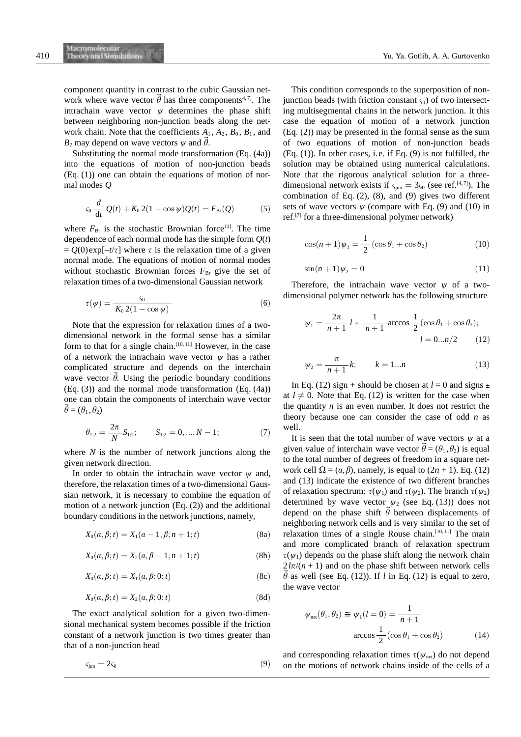component quantity in contrast to the cubic Gaussian network where wave vector  $\hat{\theta}$  has three components<sup>4, 7]</sup>. The intrachain wave vector  $\psi$  determines the phase shift between neighboring non-junction beads along the network chain. Note that the coefficients  $A_1$ ,  $A_2$ ,  $B_0$ ,  $B_1$ , and  $B_2$  may depend on wave vectors  $\psi$  and  $\dot{\theta}$ .

Substituting the normal mode transformation (Eq. (4a)) into the equations of motion of non-junction beads (Eq. (1)) one can obtain the equations of motion of normal modes *Q*

$$
\varsigma_0 \frac{d}{dt} Q(t) + K_0 2(1 - \cos \psi) Q(t) = F_{Br}(Q) \tag{5}
$$

where  $F_{\text{Br}}$  is the stochastic Brownian force<sup>11]</sup>. The time dependence of each normal mode has the simple form *Q*(*t*)  $= Q(0) \exp[-t/\tau]$  where  $\tau$  is the relaxation time of a given normal mode. The equations of motion of normal modes without stochastic Brownian forces  $F_{\text{Br}}$  give the set of relaxation times of a two-dimensional Gaussian network

$$
\tau(\psi) = \frac{\varsigma_0}{K_0 2(1 - \cos \psi)}\tag{6}
$$

Note that the expression for relaxation times of a twodimensional network in the formal sense has a similar form to that for a single chain.<sup>[10, 11]</sup> However, in the case of a network the intrachain wave vector  $\psi$  has a rather complicated structure and depends on the interchain wave vector  $\vec{\theta}$ . Using the periodic boundary conditions (Eq. (3)) and the normal mode transformation (Eq. (4a)) one can obtain the components of interchain wave vector  $\vec{\theta} = (\theta_1, \theta_2)$ 

$$
\theta_{1;2} = \frac{2\pi}{N} S_{1;2}; \qquad S_{1;2} = 0, ..., N-1; \tag{7}
$$

where *N* is the number of network junctions along the given network direction.

In order to obtain the intrachain wave vector  $\psi$  and, therefore, the relaxation times of a two-dimensional Gaussian network, it is necessary to combine the equation of motion of a network junction (Eq. (2)) and the additional boundary conditions in the network junctions, namely,

$$
X_0(a, \beta; t) = X_1(a - 1, \beta; n + 1; t)
$$
 (8a)

$$
X_0(a, \beta; t) = X_2(a, \beta - 1; n + 1; t)
$$
 (8b)

$$
X_0(a, \beta; t) = X_1(a, \beta; 0; t)
$$
 (8c)

$$
X_0(a,\beta;t) = X_2(a,\beta;0;t)
$$
\n(8d)

The exact analytical solution for a given two-dimensional mechanical system becomes possible if the friction constant of a network junction is two times greater than that of a non-junction bead

$$
\varsigma_{\text{jun}} = 2\varsigma_0 \tag{9}
$$

This condition corresponds to the superposition of nonjunction beads (with friction constant  $\varsigma_0$ ) of two intersecting multisegmental chains in the network junction. It this case the equation of motion of a network junction (Eq. (2)) may be presented in the formal sense as the sum of two equations of motion of non-junction beads (Eq. (1)). In other cases, i.e. if Eq. (9) is not fulfilled, the solution may be obtained using numerical calculations. Note that the rigorous analytical solution for a threedimensional network exists if  $\varsigma_{\text{jun}} = 3\varsigma_0$  (see ref.<sup>[4, 7]</sup>). The combination of Eq. (2), (8), and (9) gives two different sets of wave vectors  $\psi$  (compare with Eq. (9) and (10) in ref.[7] for a three-dimensional polymer network)

$$
\cos(n+1)\psi_1 = \frac{1}{2}(\cos\theta_1 + \cos\theta_2) \tag{10}
$$

$$
\sin(n+1)\psi_2 = 0\tag{11}
$$

Therefore, the intrachain wave vector  $\psi$  of a twodimensional polymer network has the following structure

$$
\psi_1 = \frac{2\pi}{n+1} l \pm \frac{1}{n+1} \arccos \frac{1}{2} (\cos \theta_1 + \cos \theta_2);
$$
  

$$
l = 0...n/2 \qquad (12)
$$

$$
\psi_2 = \frac{\pi}{n+1}k; \qquad k = 1...n \tag{13}
$$

In Eq. (12) sign + should be chosen at  $l = 0$  and signs  $\pm$ at  $l \neq 0$ . Note that Eq. (12) is written for the case when the quantity *n* is an even number. It does not restrict the theory because one can consider the case of odd *n* as well.

It is seen that the total number of wave vectors  $\psi$  at a given value of interchain wave vector  $\dot{\theta} = (\theta_1, \theta_2)$  is equal to the total number of degrees of freedom in a square network cell  $\Omega = (\alpha, \beta)$ , namely, is equal to  $(2n + 1)$ . Eq. (12) and (13) indicate the existence of two different branches of relaxation spectrum:  $\tau(\psi_1)$  and  $\tau(\psi_2)$ . The branch  $\tau(\psi_2)$ determined by wave vector  $\psi_2$  (see Eq. (13)) does not depend on the phase shift  $\vec{\theta}$  between displacements of neighboring network cells and is very similar to the set of relaxation times of a single Rouse chain.<sup>[10, 11]</sup> The main and more complicated branch of relaxation spectrum  $\tau(\psi_1)$  depends on the phase shift along the network chain  $2ln/(n + 1)$  and on the phase shift between network cells  $\vec{\theta}$  as well (see Eq. (12)). If *l* in Eq. (12) is equal to zero, the wave vector

$$
\psi_{\text{net}}(\theta_1, \theta_2) \cong \psi_1(l=0) = \frac{1}{n+1}
$$

$$
\arccos \frac{1}{2} (\cos \theta_1 + \cos \theta_2) \tag{14}
$$

and corresponding relaxation times  $\tau(\psi_{net})$  do not depend on the motions of network chains inside of the cells of a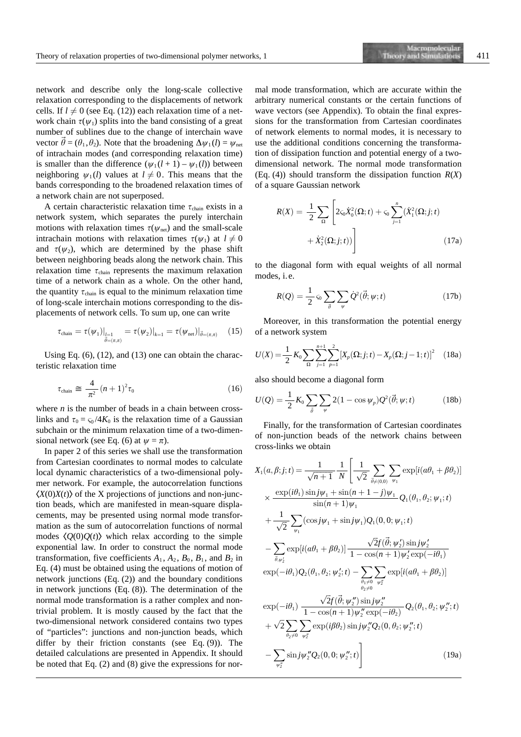network and describe only the long-scale collective relaxation corresponding to the displacements of network cells. If  $l \neq 0$  (see Eq. (12)) each relaxation time of a network chain  $\tau(\psi_1)$  splits into the band consisting of a great number of sublines due to the change of interchain wave vector  $\vec{\theta} = (\theta_1, \theta_2)$ . Note that the broadening  $\Delta \psi_1 (l) = \psi_{\text{net}}$ of intrachain modes (and corresponding relaxation time) is smaller than the difference  $(\psi_1(l+1) - \psi_1(l))$  between neighboring  $\psi_1(l)$  values at  $l \neq 0$ . This means that the bands corresponding to the broadened relaxation times of a network chain are not superposed.

A certain characteristic relaxation time  $\tau_{chain}$  exists in a network system, which separates the purely interchain motions with relaxation times  $\tau(\psi_{\text{net}})$  and the small-scale intrachain motions with relaxation times  $\tau(\psi_1)$  at  $l \neq 0$ and  $\tau(\psi_2)$ , which are determined by the phase shift between neighboring beads along the network chain. This relaxation time  $\tau_{chain}$  represents the maximum relaxation time of a network chain as a whole. On the other hand, the quantity  $\tau_{\text{chain}}$  is equal to the minimum relaxation time of long-scale interchain motions corresponding to the displacements of network cells. To sum up, one can write

$$
\tau_{\text{chain}} = \tau(\psi_1)|_{l=1 \atop \vec{\theta} = (\pi,\pi)} = \tau(\psi_2)|_{k=1} = \tau(\psi_{\text{net}})|_{\vec{\theta} = (\pi,\pi)} \quad (15)
$$

Using Eq. (6), (12), and (13) one can obtain the characteristic relaxation time

$$
\tau_{\text{chain}} \cong \frac{4}{\pi^2} (n+1)^2 \tau_0 \tag{16}
$$

where  $n$  is the number of beads in a chain between crosslinks and  $\tau_0 = \frac{1}{6}$  /4 $K_0$  is the relaxation time of a Gaussian subchain or the minimum relaxation time of a two-dimensional network (see Eq. (6) at  $\psi = \pi$ ).

In paper 2 of this series we shall use the transformation from Cartesian coordinates to normal modes to calculate local dynamic characteristics of a two-dimensional polymer network. For example, the autocorrelation functions  $\langle X(0)X(t) \rangle$  of the X projections of junctions and non-junction beads, which are manifested in mean-square displacements, may be presented using normal mode transformation as the sum of autocorrelation functions of normal modes  $\langle Q(0)Q(t)\rangle$  which relax according to the simple exponential law. In order to construct the normal mode transformation, five coefficients  $A_1$ ,  $A_2$ ,  $B_0$ ,  $B_1$ , and  $B_2$  in Eq. (4) must be obtained using the equations of motion of network junctions (Eq. (2)) and the boundary conditions in network junctions (Eq. (8)). The determination of the normal mode transformation is a rather complex and nontrivial problem. It is mostly caused by the fact that the two-dimensional network considered contains two types of "particles": junctions and non-junction beads, which differ by their friction constants (see Eq. (9)). The detailed calculations are presented in Appendix. It should be noted that Eq. (2) and (8) give the expressions for normal mode transformation, which are accurate within the arbitrary numerical constants or the certain functions of wave vectors (see Appendix). To obtain the final expressions for the transformation from Cartesian coordinates of network elements to normal modes, it is necessary to use the additional conditions concerning the transformation of dissipation function and potential energy of a twodimensional network. The normal mode transformation (Eq. (4)) should transform the dissipation function *R*(*X*) of a square Gaussian network

$$
R(X) = \frac{1}{2} \sum_{\Omega} \left[ 2 \varsigma_0 \dot{X}_0^2(\Omega; t) + \varsigma_0 \sum_{j=1}^n (\dot{X}_1^2(\Omega; j; t) + \dot{X}_2^2(\Omega; j; t)) \right]
$$
(17a)

to the diagonal form with equal weights of all normal modes, i.e.

$$
R(Q) = \frac{1}{2} \varsigma_0 \sum_{\vec{\theta}} \sum_{\psi} \dot{Q}^2(\vec{\theta}; \psi; t)
$$
 (17b)

Moreover, in this transformation the potential energy of a network system

$$
U(X) = \frac{1}{2} K_0 \sum_{\Omega} \sum_{j=1}^{n+1} \sum_{p=1}^{2} [X_p(\Omega; j; t) - X_p(\Omega; j - 1; t)]^2
$$
 (18a)

also should become a diagonal form

$$
U(Q) = \frac{1}{2} K_0 \sum_{\vec{\theta}} \sum_{\psi} 2(1 - \cos \psi_p) Q^2(\vec{\theta}; \psi; t)
$$
 (18b)

Finally, for the transformation of Cartesian coordinates of non-junction beads of the network chains between cross-links we obtain

$$
X_{1}(a, \beta; j; t) = \frac{1}{\sqrt{n+1}} \frac{1}{N} \left[ \frac{1}{\sqrt{2}} \sum_{\vec{\theta} \neq (0,0)} \sum_{\psi_{1}} \exp[i(a\theta_{1} + \beta\theta_{2})] \times \frac{\exp(i\theta_{1}) \sin j\psi_{1} + \sin(n+1-j)\psi_{1}}{\sin(n+1)\psi_{1}} Q_{1}(\theta_{1}, \theta_{2}; \psi_{1}; t) + \frac{1}{\sqrt{2}} \sum_{\psi_{1}} (\cos j\psi_{1} + \sin j\psi_{1}) Q_{1}(0, 0; \psi_{1}; t) - \sum_{\vec{\theta}, \psi_{2}} \exp[i(a\theta_{1} + \beta\theta_{2})] \frac{\sqrt{2}f(\vec{\theta}; \psi_{2}') \sin j\psi_{2}'}{1 - \cos(n+1)\psi_{2}' \exp(-i\theta_{1})} + \exp(-i\theta_{1}) Q_{2}(\theta_{1}, \theta_{2}; \psi_{2}; t) - \sum_{\theta_{1} \neq 0} \sum_{\psi_{2} \neq 0} \exp[i(a\theta_{1} + \beta\theta_{2})] + \exp(-i\theta_{1}) \frac{\sqrt{2}f(\vec{\theta}; \psi_{2}'') \sin j\psi_{2}''}{1 - \cos(n+1)\psi_{2}' \exp(-i\theta_{2})} Q_{2}(\theta_{1}, \theta_{2}; \psi_{2}''; t) + \sqrt{2} \sum_{\theta_{2} \neq 0} \sum_{\psi_{2}''} \exp(i\beta\theta_{2}) \sin j\psi_{2}'' Q_{2}(0, \theta_{2}; \psi_{2}''; t) - \sum_{\psi_{2}''} \sin j\psi_{2}'' Q_{2}(0, 0; \psi_{2}''; t) \qquad (19a)
$$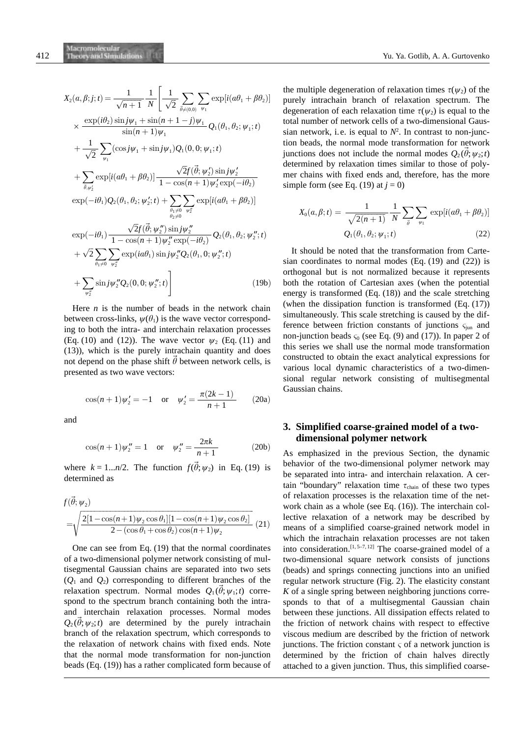$$
X_{2}(a, \beta; j; t) = \frac{1}{\sqrt{n+1}} \frac{1}{N} \left[ \frac{1}{\sqrt{2}} \sum_{\vec{\theta} \neq (0,0)} \sum_{\psi_{1}} \exp[i(a\theta_{1} + \beta\theta_{2})] \times \frac{\exp(i\theta_{2}) \sin j\psi_{1} + \sin(n+1-j)\psi_{1}}{\sin(n+1)\psi_{1}} Q_{1}(\theta_{1}, \theta_{2}; \psi_{1}; t) + \frac{1}{\sqrt{2}} \sum_{\psi_{1}} (\cos j\psi_{1} + \sin j\psi_{1}) Q_{1}(0, 0; \psi_{1}; t) + \sum_{\vec{\theta}, \psi_{2}} \exp[i(a\theta_{1} + \beta\theta_{2})] \frac{\sqrt{2}f(\vec{\theta}; \psi_{2}') \sin j\psi_{2}'}{1 - \cos(n+1)\psi_{2}' \exp(-i\theta_{2})} + \exp(-i\theta_{1}) Q_{2}(\theta_{1}, \theta_{2}; \psi_{2}; t) + \sum_{\theta_{1} \neq 0} \sum_{\psi_{2} \neq 0} \exp[i(a\theta_{1} + \beta\theta_{2})] + \frac{\sqrt{2}f(\vec{\theta}; \psi_{2}'') \sin j\psi_{2}''}{1 - \cos(n+1)\psi_{2}' \exp(-i\theta_{2})} Q_{2}(\theta_{1}, \theta_{2}; \psi_{2}''; t) + \sqrt{2} \sum_{\theta_{1} \neq 0} \sum_{\psi_{2} \neq 0} \exp(i\alpha\theta_{1}) \sin j\psi_{2}'' Q_{2}(\theta_{1}, 0; \psi_{2}''; t) + \sum_{\psi_{2} \neq 0} \sin j\psi_{2}'' Q_{2}(0, 0; \psi_{2}''; t) + \sum_{\psi_{2} \neq 0} \sin j\psi_{2}'' Q_{2}(0, 0; \psi_{2}''; t) + \sum_{\psi_{2} \neq 0} \sin j\psi_{2}'' Q_{2}(0, 0; \psi_{2}''; t) \qquad (19b)
$$

Here *n* is the number of beads in the network chain between cross-links,  $\psi(\theta_1)$  is the wave vector corresponding to both the intra- and interchain relaxation processes (Eq. (10) and (12)). The wave vector  $\psi_2$  (Eq. (11) and (13)), which is the purely intrachain quantity and does not depend on the phase shift  $\vec{\theta}$  between network cells, is presented as two wave vectors:

$$
\cos(n+1)\psi_2' = -1 \quad \text{or} \quad \psi_2' = \frac{\pi(2k-1)}{n+1} \tag{20a}
$$

and

$$
\cos(n+1)\psi_2'' = 1 \quad \text{or} \quad \psi_2'' = \frac{2\pi k}{n+1} \tag{20b}
$$

where  $k = 1...n/2$ . The function  $f(\vec{\theta}; \psi_2)$  in Eq. (19) is determined as

$$
f(\vec{\theta}; \psi_2)
$$
  
= $\sqrt{\frac{2[1-\cos(n+1)\psi_2\cos\theta_1][1-\cos(n+1)\psi_2\cos\theta_2]}{2-(\cos\theta_1+\cos\theta_2)\cos(n+1)\psi_2}}$  (21)

One can see from Eq. (19) that the normal coordinates of a two-dimensional polymer network consisting of multisegmental Gaussian chains are separated into two sets  $(Q_1 \text{ and } Q_2)$  corresponding to different branches of the relaxation spectrum. Normal modes  $Q_1(\vec{\theta}; \psi_1; t)$  correspond to the spectrum branch containing both the intraand interchain relaxation processes. Normal modes  $Q_2(\vec{\theta}; \psi_2; t)$  are determined by the purely intrachain branch of the relaxation spectrum, which corresponds to the relaxation of network chains with fixed ends. Note that the normal mode transformation for non-junction beads (Eq. (19)) has a rather complicated form because of the multiple degeneration of relaxation times  $\tau(\psi_2)$  of the purely intrachain branch of relaxation spectrum. The degeneration of each relaxation time  $\tau(\psi_2)$  is equal to the total number of network cells of a two-dimensional Gaussian network, i.e. is equal to  $N^2$ . In contrast to non-junction beads, the normal mode transformation for network junctions does not include the normal modes  $Q_2(\vec{\theta}; \psi_2; t)$ determined by relaxation times similar to those of polymer chains with fixed ends and, therefore, has the more simple form (see Eq. (19) at  $j = 0$ )

$$
X_0(a,\beta;t) = \frac{1}{\sqrt{2(n+1)}} \frac{1}{N} \sum_{\vec{\theta}} \sum_{\psi_1} \exp[i(a\theta_1 + \beta\theta_2)]
$$
  

$$
Q_1(\theta_1, \theta_2; \psi_1; t)
$$
 (22)

It should be noted that the transformation from Cartesian coordinates to normal modes  $(Eq. (19)$  and  $(22)$ ) is orthogonal but is not normalized because it represents both the rotation of Cartesian axes (when the potential energy is transformed (Eq. (18)) and the scale stretching (when the dissipation function is transformed (Eq. (17)) simultaneously. This scale stretching is caused by the difference between friction constants of junctions  $\varsigma_{\text{lim}}$  and non-junction beads  $\varsigma_0$  (see Eq. (9) and (17)). In paper 2 of this series we shall use the normal mode transformation constructed to obtain the exact analytical expressions for various local dynamic characteristics of a two-dimensional regular network consisting of multisegmental Gaussian chains.

### **3. Simplified coarse-grained model of a twodimensional polymer network**

As emphasized in the previous Section, the dynamic behavior of the two-dimensional polymer network may be separated into intra- and interchain relaxation. A certain "boundary" relaxation time  $\tau_{\text{chain}}$  of these two types of relaxation processes is the relaxation time of the network chain as a whole (see Eq. (16)). The interchain collective relaxation of a network may be described by means of a simplified coarse-grained network model in which the intrachain relaxation processes are not taken into consideration.  $[1, 5-7, 12]$  The coarse-grained model of a two-dimensional square network consists of junctions (beads) and springs connecting junctions into an unified regular network structure (Fig. 2). The elasticity constant *K* of a single spring between neighboring junctions corresponds to that of a multisegmental Gaussian chain between these junctions. All dissipation effects related to the friction of network chains with respect to effective viscous medium are described by the friction of network junctions. The friction constant  $\varsigma$  of a network junction is determined by the friction of chain halves directly attached to a given junction. Thus, this simplified coarse-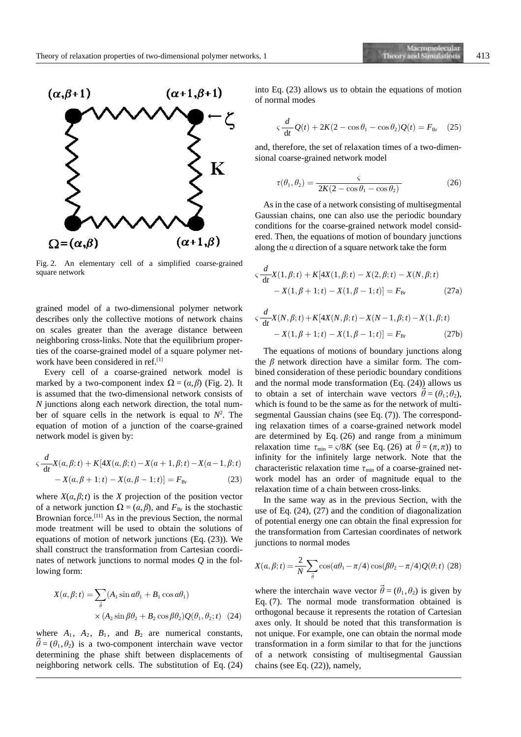

Fig. 2. An elementary cell of a simplified coarse-grained square network

grained model of a two-dimensional polymer network describes only the collective motions of network chains on scales greater than the average distance between neighboring cross-links. Note that the equilibrium properties of the coarse-grained model of a square polymer network have been considered in ref.[1]

Every cell of a coarse-grained network model is marked by a two-component index  $\Omega = (\alpha, \beta)$  (Fig. 2). It is assumed that the two-dimensional network consists of *N* junctions along each network direction, the total number of square cells in the network is equal to  $N^2$ . The equation of motion of a junction of the coarse-grained network model is given by:

$$
\varsigma \frac{d}{dt} X(a, \beta; t) + K[4X(a, \beta; t) - X(a+1, \beta; t) - X(a-1, \beta; t) - X(a, \beta+1; t) - X(a, \beta-1; t)] = F_{\text{Br}} \tag{23}
$$

where  $X(a, \beta; t)$  is the *X* projection of the position vector of a network junction  $\Omega = (\alpha, \beta)$ , and  $F_{\text{Br}}$  is the stochastic Brownian force.<sup>[11]</sup> As in the previous Section, the normal mode treatment will be used to obtain the solutions of equations of motion of network junctions (Eq. (23)). We shall construct the transformation from Cartesian coordinates of network junctions to normal modes *Q* in the following form:

$$
X(a, \beta; t) = \sum_{\vec{\theta}} (A_1 \sin a\theta_1 + B_1 \cos a\theta_1)
$$
  
 
$$
\times (A_2 \sin \beta \theta_2 + B_2 \cos \beta \theta_2) Q(\theta_1, \theta_2; t)
$$
 (24)

where *A*<sub>1</sub>, *A*<sub>2</sub>, *B*<sub>1</sub>, and *B*<sub>2</sub> are numerical constants,  $\vec{\theta} = (\theta_1, \theta_2)$  is a two-component interchain wave vector determining the phase shift between displacements of neighboring network cells. The substitution of Eq. (24) into Eq. (23) allows us to obtain the equations of motion of normal modes

$$
\varsigma \frac{d}{dt} Q(t) + 2K(2 - \cos \theta_1 - \cos \theta_2)Q(t) = F_{\text{Br}} \quad (25)
$$

and, therefore, the set of relaxation times of a two-dimensional coarse-grained network model

$$
\tau(\theta_1, \theta_2) = \frac{S}{2K(2 - \cos\theta_1 - \cos\theta_2)}\tag{26}
$$

As in the case of a network consisting of multisegmental Gaussian chains, one can also use the periodic boundary conditions for the coarse-grained network model considered. Then, the equations of motion of boundary junctions along the  $\alpha$  direction of a square network take the form

$$
\varsigma \frac{d}{dt} X(1, \beta; t) + K[4X(1, \beta; t) - X(2, \beta; t) - X(N, \beta; t) - X(1, \beta + 1; t) - X(1, \beta - 1; t)] = F_{\text{Br}} \tag{27a}
$$

$$
\varsigma \frac{d}{dt} X(N, \beta; t) + K[4X(N, \beta; t) - X(N - 1, \beta; t) - X(1, \beta; t) - X(1, \beta + 1; t) - X(1, \beta - 1; t)] = F_{\text{Br}} \tag{27b}
$$

The equations of motions of boundary junctions along the  $\beta$  network direction have a similar form. The combined consideration of these periodic boundary conditions and the normal mode transformation (Eq. (24)) allows us to obtain a set of interchain wave vectors  $\hat{\theta} = (\theta_1; \theta_2)$ , which is found to be the same as for the network of multisegmental Gaussian chains (see Eq. (7)). The corresponding relaxation times of a coarse-grained network model are determined by Eq. (26) and range from a minimum relaxation time  $\tau_{\text{min}} = \varsigma/8K$  (see Eq. (26) at  $\vec{\theta} = (\pi,\pi)$ ) to infinity for the infinitely large network. Note that the characteristic relaxation time  $\tau_{\min}$  of a coarse-grained network model has an order of magnitude equal to the relaxation time of a chain between cross-links.

In the same way as in the previous Section, with the use of Eq. (24), (27) and the condition of diagonalization of potential energy one can obtain the final expression for the transformation from Cartesian coordinates of network junctions to normal modes

$$
X(a,\beta;t) = \frac{2}{N} \sum_{\vec{\theta}} \cos(a\theta_1 - \pi/4) \cos(\beta\theta_2 - \pi/4) Q(\theta;t)
$$
 (28)

where the interchain wave vector  $\vec{\theta} = (\theta_1, \theta_2)$  is given by Eq. (7). The normal mode transformation obtained is orthogonal because it represents the rotation of Cartesian axes only. It should be noted that this transformation is not unique. For example, one can obtain the normal mode transformation in a form similar to that for the junctions of a network consisting of multisegmental Gaussian chains (see Eq. (22)), namely,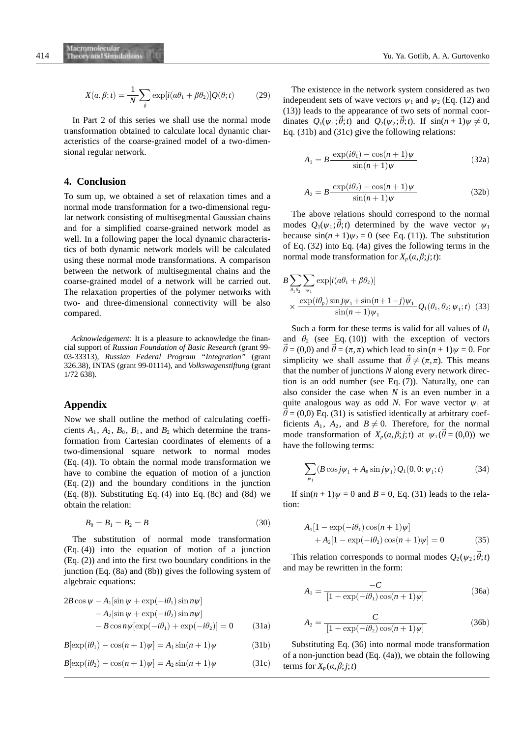$$
X(a,\beta;t) = \frac{1}{N} \sum_{\vec{\theta}} \exp[i(a\theta_1 + \beta\theta_2)]Q(\theta;t)
$$
 (29)

In Part 2 of this series we shall use the normal mode transformation obtained to calculate local dynamic characteristics of the coarse-grained model of a two-dimensional regular network.

#### **4. Conclusion**

To sum up, we obtained a set of relaxation times and a normal mode transformation for a two-dimensional regular network consisting of multisegmental Gaussian chains and for a simplified coarse-grained network model as well. In a following paper the local dynamic characteristics of both dynamic network models will be calculated using these normal mode transformations. A comparison between the network of multisegmental chains and the coarse-grained model of a network will be carried out. The relaxation properties of the polymer networks with two- and three-dimensional connectivity will be also compared.

*Acknowledgement:* It is a pleasure to acknowledge the financial support of *Russian Foundation of Basic Research* (grant 99- 03-33313), *Russian Federal Program "Integration"* (grant 326.38), INTAS (grant 99-01114), and *Volkswagenstiftung* (grant 1/72 638).

#### **Appendix**

Now we shall outline the method of calculating coefficients  $A_1$ ,  $A_2$ ,  $B_0$ ,  $B_1$ , and  $B_2$  which determine the transformation from Cartesian coordinates of elements of a two-dimensional square network to normal modes (Eq. (4)). To obtain the normal mode transformation we have to combine the equation of motion of a junction (Eq. (2)) and the boundary conditions in the junction  $(Eq. (8))$ . Substituting Eq.  $(4)$  into Eq.  $(8c)$  and  $(8d)$  we obtain the relation:

$$
B_0 = B_1 = B_2 = B \tag{30}
$$

The substitution of normal mode transformation (Eq. (4)) into the equation of motion of a junction (Eq. (2)) and into the first two boundary conditions in the junction (Eq. (8a) and (8b)) gives the following system of algebraic equations:

$$
2B\cos\psi - A_1[\sin\psi + \exp(-i\theta_1)\sin n\psi] - A_2[\sin\psi + \exp(-i\theta_2)\sin n\psi] - B\cos n\psi[\exp(-i\theta_1) + \exp(-i\theta_2)] = 0
$$
 (31a)

$$
B[\exp(i\theta_1) - \cos(n+1)\psi] = A_1 \sin(n+1)\psi \qquad (31b)
$$

$$
B[\exp(i\theta_2) - \cos(n+1)\psi] = A_2 \sin(n+1)\psi \qquad (31c)
$$

The existence in the network system considered as two independent sets of wave vectors  $\psi_1$  and  $\psi_2$  (Eq. (12) and (13)) leads to the appearance of two sets of normal coordinates  $Q_1(\psi_1; \vec{\theta}; t)$  and  $Q_2(\psi_2; \vec{\theta}; t)$ . If  $\sin((n+1)\psi \neq 0,$ Eq. (31b) and (31c) give the following relations:

$$
A_1 = B \frac{\exp(i\theta_1) - \cos(n+1)\psi}{\sin(n+1)\psi}
$$
 (32a)

$$
A_2 = B \frac{\exp(i\theta_2) - \cos((n+1)\psi)}{\sin((n+1)\psi)}
$$
(32b)

The above relations should correspond to the normal modes  $Q_1(\psi_1;\dot{\theta};t)$  determined by the wave vector  $\psi_1$ because  $sin(n+1)\psi_2 = 0$  (see Eq. (11)). The substitution of Eq. (32) into Eq. (4a) gives the following terms in the normal mode transformation for  $X_p(a,\beta;j;t)$ :

$$
B \sum_{\theta_1 \theta_2} \sum_{\psi_1} \exp[i(a\theta_1 + \beta \theta_2)]
$$
  
 
$$
\times \frac{\exp(i\theta_p) \sin j\psi_1 + \sin(n+1-j)\psi_1}{\sin(n+1)\psi_1} Q_1(\theta_1, \theta_2; \psi_1; t) (33)
$$

Such a form for these terms is valid for all values of  $\theta_1$ and  $\theta_2$  (see Eq. (10)) with the exception of vectors  $\vec{\theta} = (0,0)$  and  $\vec{\theta} = (\pi,\pi)$  which lead to  $\sin((n + 1)\psi) = 0$ . For simplicity we shall assume that  $\vec{\theta} \neq (\pi,\pi)$ . This means that the number of junctions *N* along every network direction is an odd number (see Eq. (7)). Naturally, one can also consider the case when *N* is an even number in a quite analogous way as odd *N*. For wave vector  $\psi_1$  at  $\vec{\theta} = (0,0)$  Eq. (31) is satisfied identically at arbitrary coefficients  $A_1$ ,  $A_2$ , and  $B \neq 0$ . Therefore, for the normal mode transformation of  $X_p(a,\beta;j;t)$  at  $\psi_1(\vec{\theta} = (0,0))$  we have the following terms:

$$
\sum_{\psi_1} (B \cos j\psi_1 + A_p \sin j\psi_1) Q_1(0, 0; \psi_1; t)
$$
 (34)

If  $sin(n + 1)\psi = 0$  and  $B = 0$ , Eq. (31) leads to the relation:

$$
A_1[1 - \exp(-i\theta_1)\cos(n+1)\psi] + A_2[1 - \exp(-i\theta_2)\cos(n+1)\psi] = 0
$$
 (35)

This relation corresponds to normal modes  $Q_2(\psi_2;\dot{\theta};t)$ and may be rewritten in the form:

$$
A_1 = \frac{-C}{\left[1 - \exp(-i\theta_1)\cos((n+1)\psi)\right]}
$$
(36a)

$$
A_2 = \frac{C}{\left[1 - \exp(-i\theta_2)\cos((n+1)\psi)\right]}
$$
(36b)

Substituting Eq. (36) into normal mode transformation of a non-junction bead (Eq. (4a)), we obtain the following terms for  $X_p(a,\beta;j;t)$